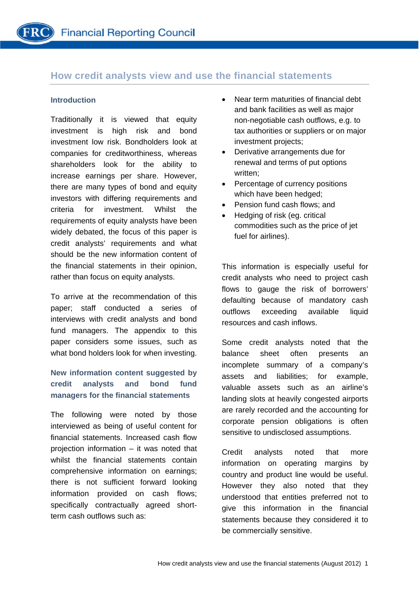# **How credit analysts view and use the financial statements**

# **Introduction**

Traditionally it is viewed that equity investment is high risk and bond investment low risk. Bondholders look at companies for creditworthiness, whereas shareholders look for the ability to increase earnings per share. However, there are many types of bond and equity investors with differing requirements and criteria for investment. Whilst the requirements of equity analysts have been widely debated, the focus of this paper is credit analysts' requirements and what should be the new information content of the financial statements in their opinion, rather than focus on equity analysts.

To arrive at the recommendation of this paper; staff conducted a series of interviews with credit analysts and bond fund managers. The appendix to this paper considers some issues, such as what bond holders look for when investing.

# **New information content suggested by credit analysts and bond fund managers for the financial statements**

The following were noted by those interviewed as being of useful content for financial statements. Increased cash flow projection information – it was noted that whilst the financial statements contain comprehensive information on earnings; there is not sufficient forward looking information provided on cash flows; specifically contractually agreed shortterm cash outflows such as:

- Near term maturities of financial debt and bank facilities as well as major non-negotiable cash outflows, e.g. to tax authorities or suppliers or on major investment projects;
- Derivative arrangements due for renewal and terms of put options written;
- Percentage of currency positions which have been hedged:
- Pension fund cash flows; and
- Hedging of risk (eg. critical commodities such as the price of jet fuel for airlines).

This information is especially useful for credit analysts who need to project cash flows to gauge the risk of borrowers' defaulting because of mandatory cash outflows exceeding available liquid resources and cash inflows.

Some credit analysts noted that the balance sheet often presents an incomplete summary of a company's assets and liabilities; for example, valuable assets such as an airline's landing slots at heavily congested airports are rarely recorded and the accounting for corporate pension obligations is often sensitive to undisclosed assumptions.

Credit analysts noted that more information on operating margins by country and product line would be useful. However they also noted that they understood that entities preferred not to give this information in the financial statements because they considered it to be commercially sensitive.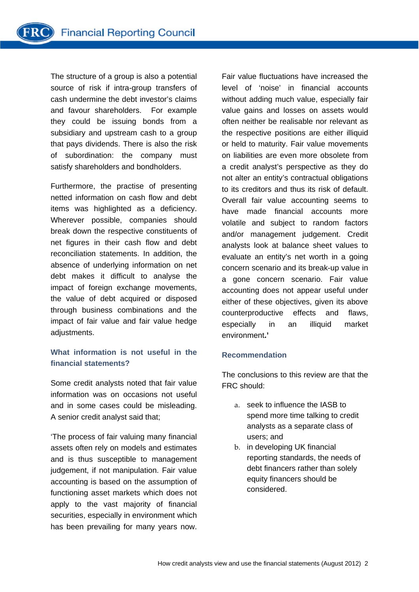The structure of a group is also a potential source of risk if intra-group transfers of cash undermine the debt investor's claims and favour shareholders. For example they could be issuing bonds from a subsidiary and upstream cash to a group that pays dividends. There is also the risk of subordination: the company must satisfy shareholders and bondholders.

Furthermore, the practise of presenting netted information on cash flow and debt items was highlighted as a deficiency. Wherever possible, companies should break down the respective constituents of net figures in their cash flow and debt reconciliation statements. In addition, the absence of underlying information on net debt makes it difficult to analyse the impact of foreign exchange movements, the value of debt acquired or disposed through business combinations and the impact of fair value and fair value hedge adjustments.

# **What information is not useful in the financial statements?**

Some credit analysts noted that fair value information was on occasions not useful and in some cases could be misleading. A senior credit analyst said that;

'The process of fair valuing many financial assets often rely on models and estimates and is thus susceptible to management judgement, if not manipulation. Fair value accounting is based on the assumption of functioning asset markets which does not apply to the vast majority of financial securities, especially in environment which has been prevailing for many years now.

Fair value fluctuations have increased the level of 'noise' in financial accounts without adding much value, especially fair value gains and losses on assets would often neither be realisable nor relevant as the respective positions are either illiquid or held to maturity. Fair value movements on liabilities are even more obsolete from a credit analyst's perspective as they do not alter an entity's contractual obligations to its creditors and thus its risk of default. Overall fair value accounting seems to have made financial accounts more volatile and subject to random factors and/or management judgement. Credit analysts look at balance sheet values to evaluate an entity's net worth in a going concern scenario and its break-up value in a gone concern scenario. Fair value accounting does not appear useful under either of these objectives, given its above counterproductive effects and flaws, especially in an illiquid market environment**.'** 

# **Recommendation**

The conclusions to this review are that the FRC should:

- a. seek to influence the IASB to spend more time talking to credit analysts as a separate class of users; and
- b. in developing UK financial reporting standards, the needs of debt financers rather than solely equity financers should be considered.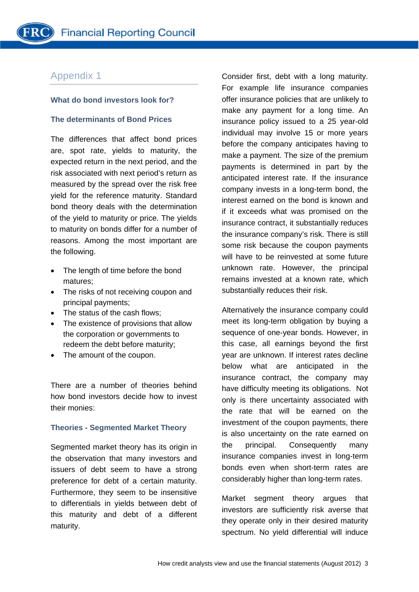# Appendix 1

### **What do bond investors look for?**

### **The determinants of Bond Prices**

The differences that affect bond prices are, spot rate, yields to maturity, the expected return in the next period, and the risk associated with next period's return as measured by the spread over the risk free yield for the reference maturity. Standard bond theory deals with the determination of the yield to maturity or price. The yields to maturity on bonds differ for a number of reasons. Among the most important are the following.

- The length of time before the bond matures;
- The risks of not receiving coupon and principal payments;
- The status of the cash flows;
- The existence of provisions that allow the corporation or governments to redeem the debt before maturity;
- The amount of the coupon.

There are a number of theories behind how bond investors decide how to invest their monies:

#### **Theories - Segmented Market Theory**

Segmented market theory has its origin in the observation that many investors and issuers of debt seem to have a strong preference for debt of a certain maturity. Furthermore, they seem to be insensitive to differentials in yields between debt of this maturity and debt of a different maturity.

Consider first, debt with a long maturity. For example life insurance companies offer insurance policies that are unlikely to make any payment for a long time. An insurance policy issued to a 25 year-old individual may involve 15 or more years before the company anticipates having to make a payment. The size of the premium payments is determined in part by the anticipated interest rate. If the insurance company invests in a long-term bond, the interest earned on the bond is known and if it exceeds what was promised on the insurance contract, it substantially reduces the insurance company's risk. There is still some risk because the coupon payments will have to be reinvested at some future unknown rate. However, the principal remains invested at a known rate, which substantially reduces their risk.

Alternatively the insurance company could meet its long-term obligation by buying a sequence of one-year bonds. However, in this case, all earnings beyond the first year are unknown. If interest rates decline below what are anticipated in the insurance contract, the company may have difficulty meeting its obligations. Not only is there uncertainty associated with the rate that will be earned on the investment of the coupon payments, there is also uncertainty on the rate earned on the principal. Consequently many insurance companies invest in long-term bonds even when short-term rates are considerably higher than long-term rates.

Market segment theory argues that investors are sufficiently risk averse that they operate only in their desired maturity spectrum. No yield differential will induce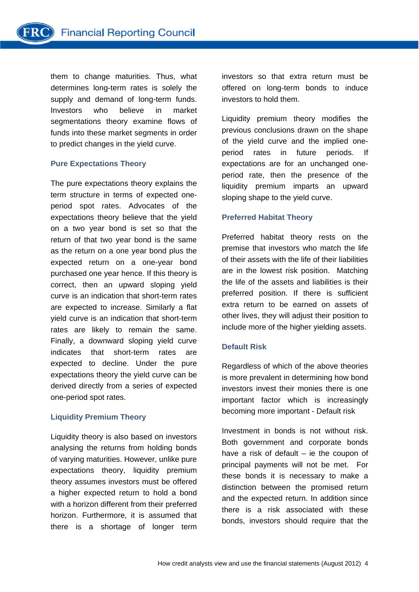them to change maturities. Thus, what determines long-term rates is solely the supply and demand of long-term funds. Investors who believe in market segmentations theory examine flows of funds into these market segments in order to predict changes in the yield curve.

#### **Pure Expectations Theory**

The pure expectations theory explains the term structure in terms of expected oneperiod spot rates. Advocates of the expectations theory believe that the yield on a two year bond is set so that the return of that two year bond is the same as the return on a one year bond plus the expected return on a one-year bond purchased one year hence. If this theory is correct, then an upward sloping yield curve is an indication that short-term rates are expected to increase. Similarly a flat yield curve is an indication that short-term rates are likely to remain the same. Finally, a downward sloping yield curve indicates that short-term rates are expected to decline. Under the pure expectations theory the yield curve can be derived directly from a series of expected one-period spot rates.

# **Liquidity Premium Theory**

Liquidity theory is also based on investors analysing the returns from holding bonds of varying maturities. However, unlike pure expectations theory, liquidity premium theory assumes investors must be offered a higher expected return to hold a bond with a horizon different from their preferred horizon. Furthermore, it is assumed that there is a shortage of longer term

investors so that extra return must be offered on long-term bonds to induce investors to hold them.

Liquidity premium theory modifies the previous conclusions drawn on the shape of the yield curve and the implied oneperiod rates in future periods. If expectations are for an unchanged oneperiod rate, then the presence of the liquidity premium imparts an upward sloping shape to the yield curve.

# **Preferred Habitat Theory**

Preferred habitat theory rests on the premise that investors who match the life of their assets with the life of their liabilities are in the lowest risk position. Matching the life of the assets and liabilities is their preferred position. If there is sufficient extra return to be earned on assets of other lives, they will adjust their position to include more of the higher yielding assets.

# **Default Risk**

Regardless of which of the above theories is more prevalent in determining how bond investors invest their monies there is one important factor which is increasingly becoming more important - Default risk

Investment in bonds is not without risk. Both government and corporate bonds have a risk of default – ie the coupon of principal payments will not be met. For these bonds it is necessary to make a distinction between the promised return and the expected return. In addition since there is a risk associated with these bonds, investors should require that the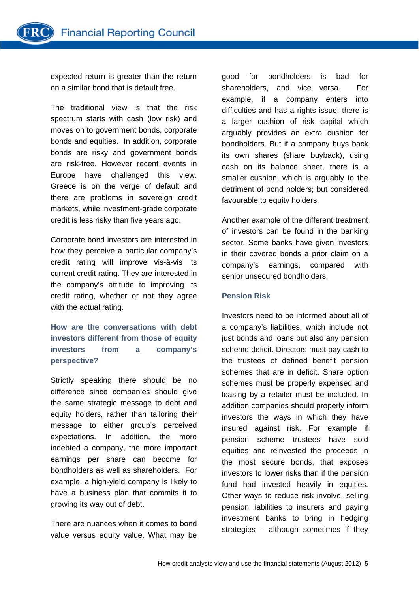expected return is greater than the return on a similar bond that is default free.

The traditional view is that the risk spectrum starts with cash (low risk) and moves on to government bonds, corporate bonds and equities. In addition, corporate bonds are risky and government bonds are risk-free. However recent events in Europe have challenged this view. Greece is on the verge of default and there are problems in sovereign credit markets, while investment-grade corporate credit is less risky than five years ago.

Corporate bond investors are interested in how they perceive a particular company's credit rating will improve vis-à-vis its current credit rating. They are interested in the company's attitude to improving its credit rating, whether or not they agree with the actual rating.

**How are the conversations with debt investors different from those of equity investors from a company's perspective?** 

Strictly speaking there should be no difference since companies should give the same strategic message to debt and equity holders, rather than tailoring their message to either group's perceived expectations. In addition, the more indebted a company, the more important earnings per share can become for bondholders as well as shareholders. For example, a high-yield company is likely to have a business plan that commits it to growing its way out of debt.

There are nuances when it comes to bond value versus equity value. What may be good for bondholders is bad for shareholders, and vice versa. For example, if a company enters into difficulties and has a rights issue; there is a larger cushion of risk capital which arguably provides an extra cushion for bondholders. But if a company buys back its own shares (share buyback), using cash on its balance sheet, there is a smaller cushion, which is arguably to the detriment of bond holders; but considered favourable to equity holders.

Another example of the different treatment of investors can be found in the banking sector. Some banks have given investors in their covered bonds a prior claim on a company's earnings, compared with senior unsecured bondholders.

# **Pension Risk**

Investors need to be informed about all of a company's liabilities, which include not just bonds and loans but also any pension scheme deficit. Directors must pay cash to the trustees of defined benefit pension schemes that are in deficit. Share option schemes must be properly expensed and leasing by a retailer must be included. In addition companies should properly inform investors the ways in which they have insured against risk. For example if pension scheme trustees have sold equities and reinvested the proceeds in the most secure bonds, that exposes investors to lower risks than if the pension fund had invested heavily in equities. Other ways to reduce risk involve, selling pension liabilities to insurers and paying investment banks to bring in hedging strategies – although sometimes if they